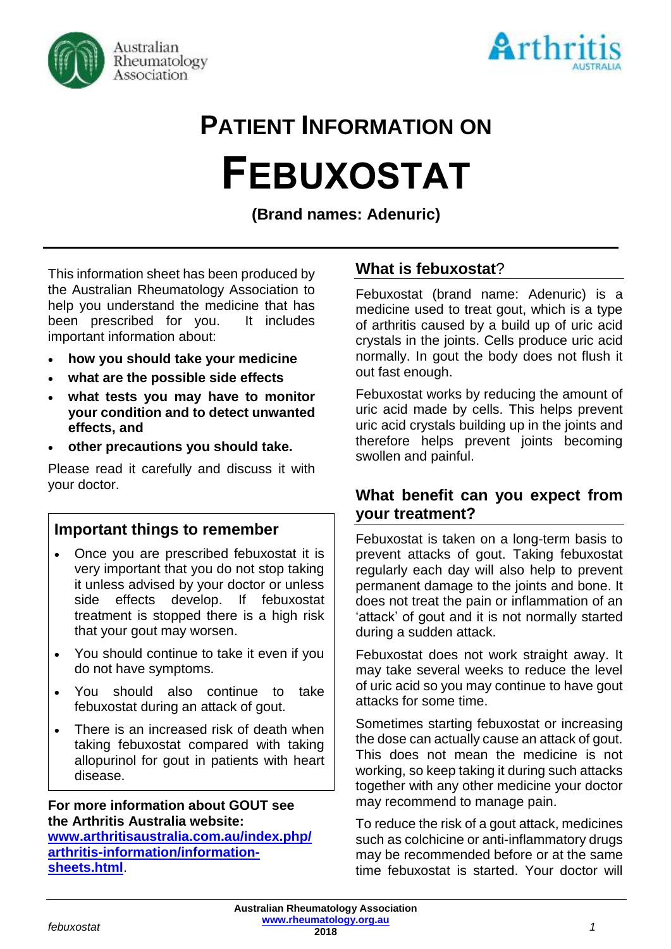



# **PATIENT INFORMATION ON FEBUXOSTAT**

**(Brand names: Adenuric)**

This information sheet has been produced by the Australian Rheumatology Association to help you understand the medicine that has been prescribed for you. It includes important information about:

- **how you should take your medicine**
- **what are the possible side effects**
- **what tests you may have to monitor your condition and to detect unwanted effects, and**
- **other precautions you should take.**

Please read it carefully and discuss it with your doctor.

# **Important things to remember**

- Once you are prescribed febuxostat it is very important that you do not stop taking it unless advised by your doctor or unless side effects develop. If febuxostat treatment is stopped there is a high risk that your gout may worsen.
- You should continue to take it even if you do not have symptoms.
- You should also continue to take febuxostat during an attack of gout.
- There is an increased risk of death when taking febuxostat compared with taking allopurinol for gout in patients with heart disease.

### **For more information about GOUT see the Arthritis Australia website:**

**[www.arthritisaustralia.com.au/index.php/](http://www.arthritisaustralia.com.au/index.php/arthritis-information/information-sheets.html) [arthritis-information/information](http://www.arthritisaustralia.com.au/index.php/arthritis-information/information-sheets.html)[sheets.html](http://www.arthritisaustralia.com.au/index.php/arthritis-information/information-sheets.html)**.

## **What is febuxostat**?

Febuxostat (brand name: Adenuric) is a medicine used to treat gout, which is a type of arthritis caused by a build up of uric acid crystals in the joints. Cells produce uric acid normally. In gout the body does not flush it out fast enough.

Febuxostat works by reducing the amount of uric acid made by cells. This helps prevent uric acid crystals building up in the joints and therefore helps prevent joints becoming swollen and painful.

## **What benefit can you expect from your treatment?**

Febuxostat is taken on a long-term basis to prevent attacks of gout. Taking febuxostat regularly each day will also help to prevent permanent damage to the joints and bone. It does not treat the pain or inflammation of an 'attack' of gout and it is not normally started during a sudden attack.

Febuxostat does not work straight away. It may take several weeks to reduce the level of uric acid so you may continue to have gout attacks for some time.

Sometimes starting febuxostat or increasing the dose can actually cause an attack of gout. This does not mean the medicine is not working, so keep taking it during such attacks together with any other medicine your doctor may recommend to manage pain.

To reduce the risk of a gout attack, medicines such as colchicine or anti-inflammatory drugs may be recommended before or at the same time febuxostat is started. Your doctor will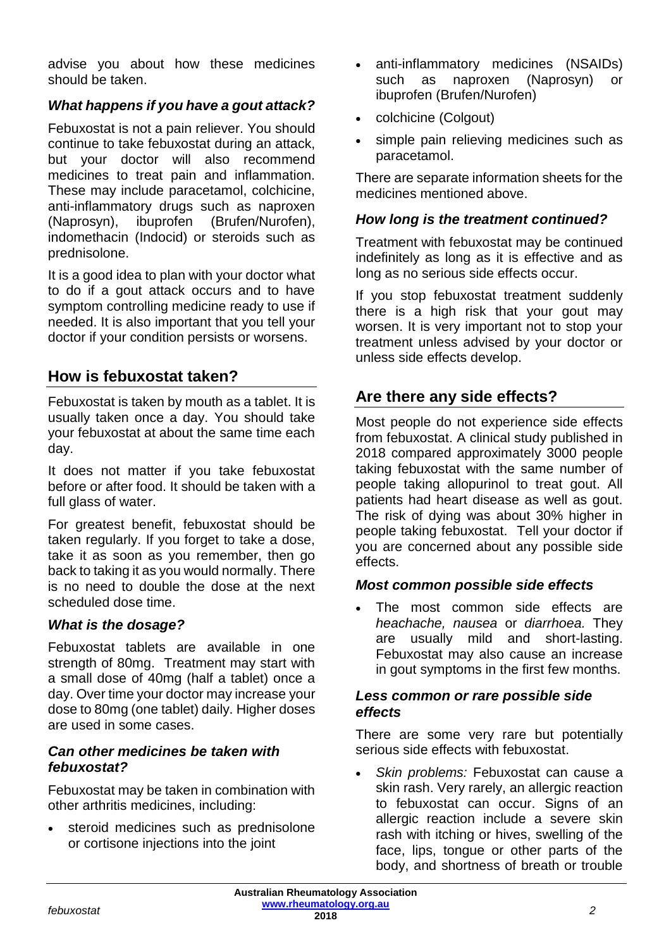advise you about how these medicines should be taken.

## *What happens if you have a gout attack?*

Febuxostat is not a pain reliever. You should continue to take febuxostat during an attack, but your doctor will also recommend medicines to treat pain and inflammation. These may include paracetamol, colchicine, anti-inflammatory drugs such as naproxen (Naprosyn), ibuprofen (Brufen/Nurofen), indomethacin (Indocid) or steroids such as prednisolone.

It is a good idea to plan with your doctor what to do if a gout attack occurs and to have symptom controlling medicine ready to use if needed. It is also important that you tell your doctor if your condition persists or worsens.

## **How is febuxostat taken?**

Febuxostat is taken by mouth as a tablet. It is usually taken once a day. You should take your febuxostat at about the same time each day.

It does not matter if you take febuxostat before or after food. It should be taken with a full glass of water.

For greatest benefit, febuxostat should be taken regularly. If you forget to take a dose, take it as soon as you remember, then go back to taking it as you would normally. There is no need to double the dose at the next scheduled dose time.

## *What is the dosage?*

Febuxostat tablets are available in one strength of 80mg. Treatment may start with a small dose of 40mg (half a tablet) once a day. Over time your doctor may increase your dose to 80mg (one tablet) daily. Higher doses are used in some cases.

#### *Can other medicines be taken with febuxostat?*

Febuxostat may be taken in combination with other arthritis medicines, including:

• steroid medicines such as prednisolone or cortisone injections into the joint

- anti-inflammatory medicines (NSAIDs) such as naproxen (Naprosyn) or ibuprofen (Brufen/Nurofen)
- colchicine (Colgout)
- simple pain relieving medicines such as paracetamol.

There are separate information sheets for the medicines mentioned above.

### *How long is the treatment continued?*

Treatment with febuxostat may be continued indefinitely as long as it is effective and as long as no serious side effects occur.

If you stop febuxostat treatment suddenly there is a high risk that your gout may worsen. It is very important not to stop your treatment unless advised by your doctor or unless side effects develop.

# **Are there any side effects?**

Most people do not experience side effects from febuxostat. A clinical study published in 2018 compared approximately 3000 people taking febuxostat with the same number of people taking allopurinol to treat gout. All patients had heart disease as well as gout. The risk of dying was about 30% higher in people taking febuxostat. Tell your doctor if you are concerned about any possible side effects.

#### *Most common possible side effects*

The most common side effects are *heachache, nausea* or *diarrhoea.* They are usually mild and short-lasting. Febuxostat may also cause an increase in gout symptoms in the first few months.

#### *Less common or rare possible side effects*

There are some very rare but potentially serious side effects with febuxostat.

• *Skin problems:* Febuxostat can cause a skin rash. Very rarely, an allergic reaction to febuxostat can occur. Signs of an allergic reaction include a severe skin rash with itching or hives, swelling of the face, lips, tongue or other parts of the body, and shortness of breath or trouble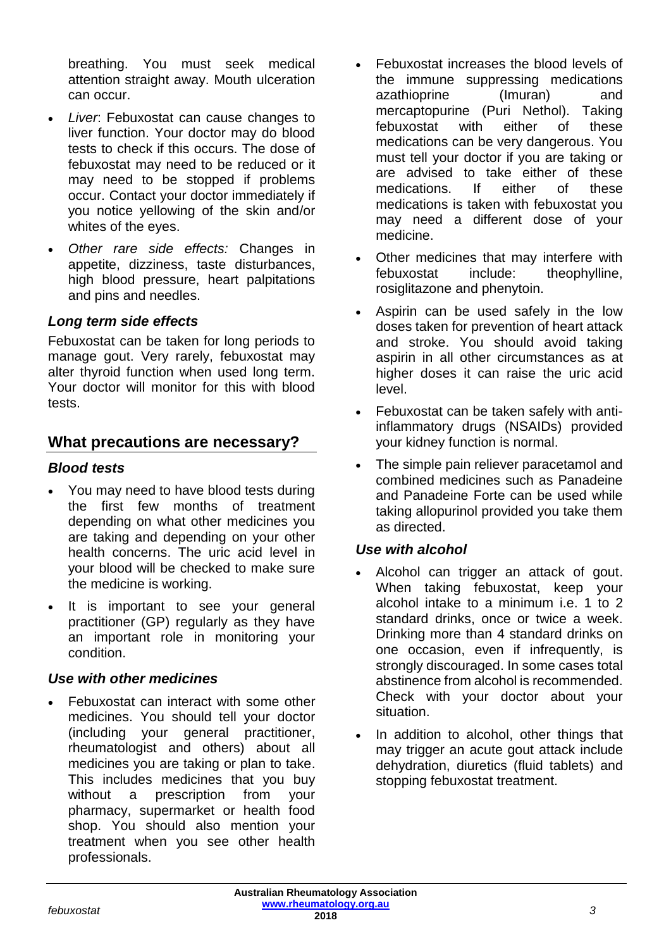breathing. You must seek medical attention straight away. Mouth ulceration can occur.

- *Liver*: Febuxostat can cause changes to liver function. Your doctor may do blood tests to check if this occurs. The dose of febuxostat may need to be reduced or it may need to be stopped if problems occur. Contact your doctor immediately if you notice yellowing of the skin and/or whites of the eyes.
- *Other rare side effects:* Changes in appetite, dizziness, taste disturbances, high blood pressure, heart palpitations and pins and needles.

## *Long term side effects*

Febuxostat can be taken for long periods to manage gout. Very rarely, febuxostat may alter thyroid function when used long term. Your doctor will monitor for this with blood tests.

## **What precautions are necessary?**

## *Blood tests*

- You may need to have blood tests during the first few months of treatment depending on what other medicines you are taking and depending on your other health concerns. The uric acid level in your blood will be checked to make sure the medicine is working.
- It is important to see your general practitioner (GP) regularly as they have an important role in monitoring your condition.

## *Use with other medicines*

• Febuxostat can interact with some other medicines. You should tell your doctor (including your general practitioner, rheumatologist and others) about all medicines you are taking or plan to take. This includes medicines that you buy without a prescription from your pharmacy, supermarket or health food shop. You should also mention your treatment when you see other health professionals.

- Febuxostat increases the blood levels of the immune suppressing medications azathioprine (Imuran) and mercaptopurine (Puri Nethol). Taking febuxostat with either of these medications can be very dangerous. You must tell your doctor if you are taking or are advised to take either of these medications. If either of these medications is taken with febuxostat you may need a different dose of your medicine.
- Other medicines that may interfere with febuxostat include: theophylline, rosiglitazone and phenytoin.
- Aspirin can be used safely in the low doses taken for prevention of heart attack and stroke. You should avoid taking aspirin in all other circumstances as at higher doses it can raise the uric acid level.
- Febuxostat can be taken safely with antiinflammatory drugs (NSAIDs) provided your kidney function is normal.
- The simple pain reliever paracetamol and combined medicines such as Panadeine and Panadeine Forte can be used while taking allopurinol provided you take them as directed.

## *Use with alcohol*

- Alcohol can trigger an attack of gout. When taking febuxostat, keep your alcohol intake to a minimum i.e. 1 to 2 standard drinks, once or twice a week. Drinking more than 4 standard drinks on one occasion, even if infrequently, is strongly discouraged. In some cases total abstinence from alcohol is recommended. Check with your doctor about your situation.
- In addition to alcohol, other things that may trigger an acute gout attack include dehydration, diuretics (fluid tablets) and stopping febuxostat treatment.